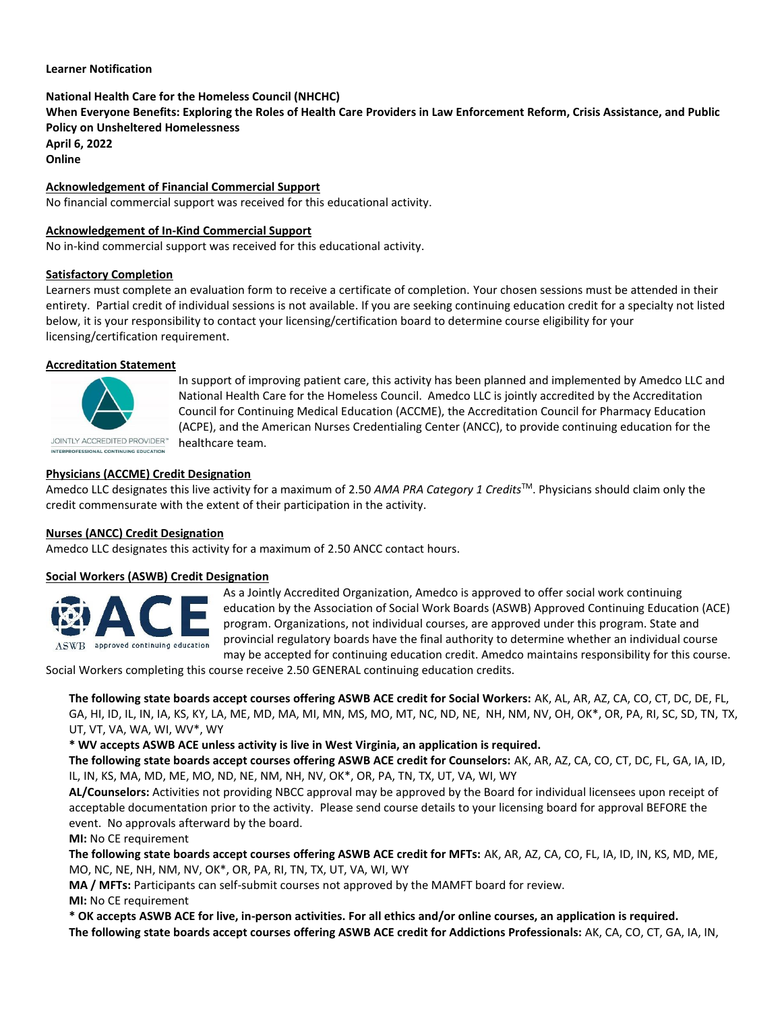#### **Learner Notification**

# **National Health Care for the Homeless Council (NHCHC)**

**When Everyone Benefits: Exploring the Roles of Health Care Providers in Law Enforcement Reform, Crisis Assistance, and Public Policy on Unsheltered Homelessness April 6, 2022**

**Online**

**Acknowledgement of Financial Commercial Support**

No financial commercial support was received for this educational activity.

## **Acknowledgement of In-Kind Commercial Support**

No in-kind commercial support was received for this educational activity.

## **Satisfactory Completion**

Learners must complete an evaluation form to receive a certificate of completion. Your chosen sessions must be attended in their entirety. Partial credit of individual sessions is not available. If you are seeking continuing education credit for a specialty not listed below, it is your responsibility to contact your licensing/certification board to determine course eligibility for your licensing/certification requirement.

## **Accreditation Statement**



In support of improving patient care, this activity has been planned and implemented by Amedco LLC and National Health Care for the Homeless Council. Amedco LLC is jointly accredited by the Accreditation Council for Continuing Medical Education (ACCME), the Accreditation Council for Pharmacy Education (ACPE), and the American Nurses Credentialing Center (ANCC), to provide continuing education for the healthcare team.

**Physicians (ACCME) Credit Designation**

Amedco LLC designates this live activity for a maximum of 2.50 *AMA PRA Category 1 Credits*TM. Physicians should claim only the credit commensurate with the extent of their participation in the activity.

## **Nurses (ANCC) Credit Designation**

Amedco LLC designates this activity for a maximum of 2.50 ANCC contact hours.

#### **Social Workers (ASWB) Credit Designation**



As a Jointly Accredited Organization, Amedco is approved to offer social work continuing education by the Association of Social Work Boards (ASWB) Approved Continuing Education (ACE) program. Organizations, not individual courses, are approved under this program. State and provincial regulatory boards have the final authority to determine whether an individual course may be accepted for continuing education credit. Amedco maintains responsibility for this course.

Social Workers completing this course receive 2.50 GENERAL continuing education credits.

**The following state boards accept courses offering ASWB ACE credit for Social Workers:** AK, AL, AR, AZ, CA, CO, CT, DC, DE, FL, GA, HI, ID, IL, IN, IA, KS, KY, LA, ME, MD, MA, MI, MN, MS, MO, MT, NC, ND, NE, NH, NM, NV, OH, OK\*, OR, PA, RI, SC, SD, TN, TX, UT, VT, VA, WA, WI, WV\*, WY

**\* WV accepts ASWB ACE unless activity is live in West Virginia, an application is required.**

**The following state boards accept courses offering ASWB ACE credit for Counselors:** AK, AR, AZ, CA, CO, CT, DC, FL, GA, IA, ID, IL, IN, KS, MA, MD, ME, MO, ND, NE, NM, NH, NV, OK\*, OR, PA, TN, TX, UT, VA, WI, WY

**AL/Counselors:** Activities not providing NBCC approval may be approved by the Board for individual licensees upon receipt of acceptable documentation prior to the activity. Please send course details to your licensing board for approval BEFORE the event. No approvals afterward by the board.

#### **MI:** No CE requirement

**The following state boards accept courses offering ASWB ACE credit for MFTs:** AK, AR, AZ, CA, CO, FL, IA, ID, IN, KS, MD, ME, MO, NC, NE, NH, NM, NV, OK\*, OR, PA, RI, TN, TX, UT, VA, WI, WY

**MA / MFTs:** Participants can self-submit courses not approved by the MAMFT board for review. **MI:** No CE requirement

**\* OK accepts ASWB ACE for live, in-person activities. For all ethics and/or online courses, an application is required. The following state boards accept courses offering ASWB ACE credit for Addictions Professionals:** AK, CA, CO, CT, GA, IA, IN,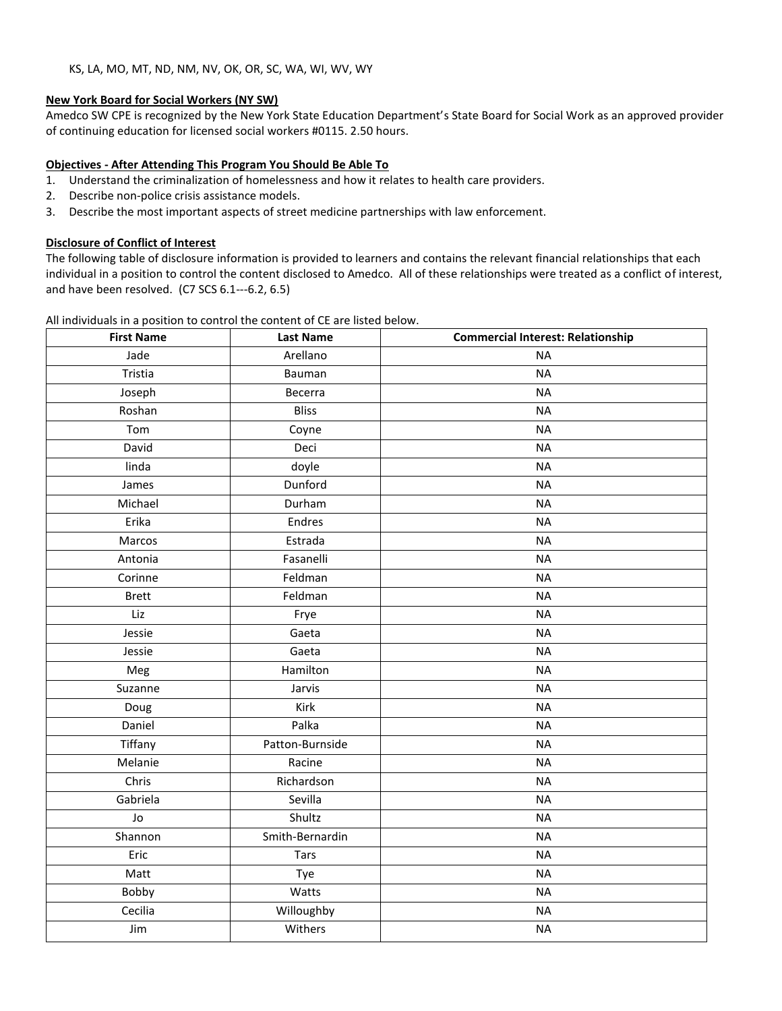## **New York Board for Social Workers (NY SW)**

Amedco SW CPE is recognized by the New York State Education Department's State Board for Social Work as an approved provider of continuing education for licensed social workers #0115. 2.50 hours.

## **Objectives - After Attending This Program You Should Be Able To**

- 1. Understand the criminalization of homelessness and how it relates to health care providers.
- 2. Describe non-police crisis assistance models.
- 3. Describe the most important aspects of street medicine partnerships with law enforcement.

## **Disclosure of Conflict of Interest**

The following table of disclosure information is provided to learners and contains the relevant financial relationships that each individual in a position to control the content disclosed to Amedco. All of these relationships were treated as a conflict of interest, and have been resolved. (C7 SCS 6.1--‐6.2, 6.5)

|  |  |  |  | All individuals in a position to control the content of CE are listed below. |
|--|--|--|--|------------------------------------------------------------------------------|
|--|--|--|--|------------------------------------------------------------------------------|

| <b>First Name</b> | <b>Last Name</b> | <b>Commercial Interest: Relationship</b> |  |
|-------------------|------------------|------------------------------------------|--|
| Jade              | Arellano         | <b>NA</b>                                |  |
| Tristia           | Bauman           | <b>NA</b>                                |  |
| Joseph            | Becerra          | <b>NA</b>                                |  |
| Roshan            | <b>Bliss</b>     | <b>NA</b>                                |  |
| Tom               | Coyne            | <b>NA</b>                                |  |
| David             | Deci             | <b>NA</b>                                |  |
| linda             | doyle            | <b>NA</b>                                |  |
| James             | Dunford          | <b>NA</b>                                |  |
| Michael           | Durham           | <b>NA</b>                                |  |
| Erika             | Endres           | <b>NA</b>                                |  |
| Marcos            | Estrada          | <b>NA</b>                                |  |
| Antonia           | Fasanelli        | <b>NA</b>                                |  |
| Corinne           | Feldman          | <b>NA</b>                                |  |
| <b>Brett</b>      | Feldman          | <b>NA</b>                                |  |
| Liz               | Frye             | <b>NA</b>                                |  |
| Jessie            | Gaeta            | <b>NA</b>                                |  |
| Jessie            | Gaeta            | <b>NA</b>                                |  |
| Meg               | Hamilton         | <b>NA</b>                                |  |
| Suzanne           | Jarvis           | <b>NA</b>                                |  |
| Doug              | Kirk             | <b>NA</b>                                |  |
| Daniel            | Palka            | <b>NA</b>                                |  |
| Tiffany           | Patton-Burnside  | <b>NA</b>                                |  |
| Melanie           | Racine           | <b>NA</b>                                |  |
| Chris             | Richardson       | <b>NA</b>                                |  |
| Gabriela          | Sevilla          | <b>NA</b>                                |  |
| Jo                | Shultz           | <b>NA</b>                                |  |
| Shannon           | Smith-Bernardin  | <b>NA</b>                                |  |
| Eric              | <b>Tars</b>      | <b>NA</b>                                |  |
| Matt              | Tye              | <b>NA</b>                                |  |
| Bobby             | Watts            | <b>NA</b>                                |  |
| Cecilia           | Willoughby       | <b>NA</b>                                |  |
| Jim               | Withers          | <b>NA</b>                                |  |